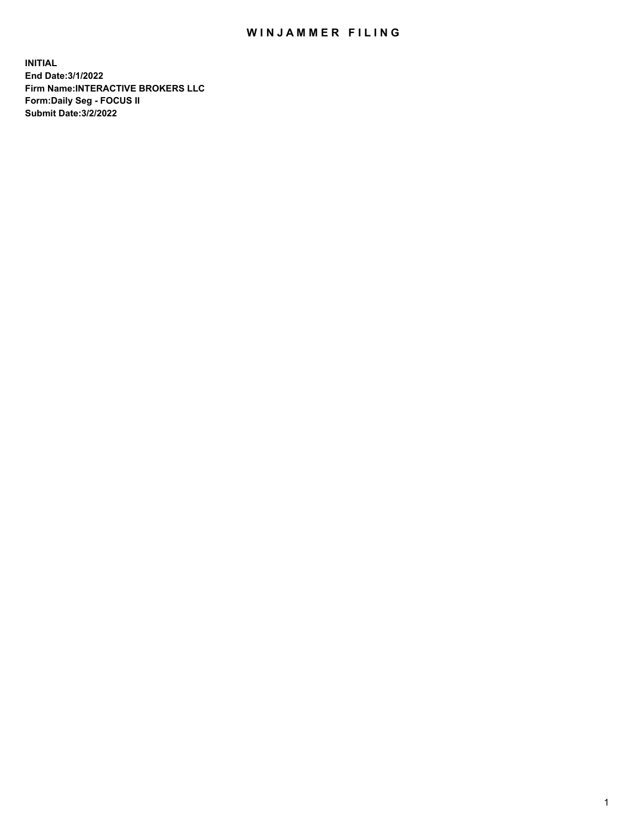## WIN JAMMER FILING

**INITIAL End Date:3/1/2022 Firm Name:INTERACTIVE BROKERS LLC Form:Daily Seg - FOCUS II Submit Date:3/2/2022**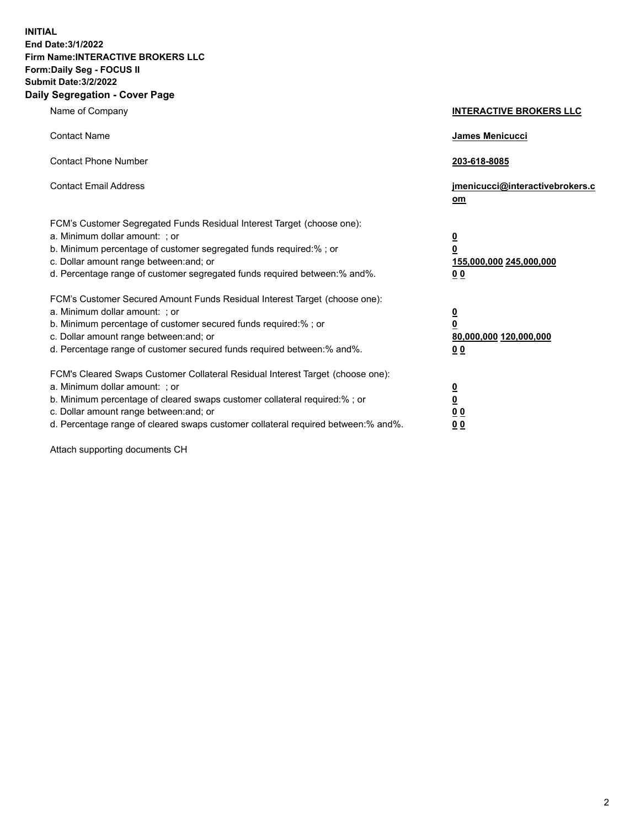**INITIAL End Date:3/1/2022 Firm Name:INTERACTIVE BROKERS LLC Form:Daily Seg - FOCUS II Submit Date:3/2/2022 Daily Segregation - Cover Page**

| Name of Company                                                                                                                                                                                                                                                                                                                | <b>INTERACTIVE BROKERS LLC</b>                                                                 |
|--------------------------------------------------------------------------------------------------------------------------------------------------------------------------------------------------------------------------------------------------------------------------------------------------------------------------------|------------------------------------------------------------------------------------------------|
| <b>Contact Name</b>                                                                                                                                                                                                                                                                                                            | James Menicucci                                                                                |
| <b>Contact Phone Number</b>                                                                                                                                                                                                                                                                                                    | 203-618-8085                                                                                   |
| <b>Contact Email Address</b>                                                                                                                                                                                                                                                                                                   | jmenicucci@interactivebrokers.c<br>om                                                          |
| FCM's Customer Segregated Funds Residual Interest Target (choose one):<br>a. Minimum dollar amount: ; or<br>b. Minimum percentage of customer segregated funds required:% ; or<br>c. Dollar amount range between: and; or<br>d. Percentage range of customer segregated funds required between: % and %.                       | $\overline{\mathbf{0}}$<br>$\overline{\mathbf{0}}$<br>155,000,000 245,000,000<br>00            |
| FCM's Customer Secured Amount Funds Residual Interest Target (choose one):<br>a. Minimum dollar amount: ; or<br>b. Minimum percentage of customer secured funds required:%; or<br>c. Dollar amount range between: and; or<br>d. Percentage range of customer secured funds required between:% and%.                            | $\overline{\mathbf{0}}$<br>$\overline{\mathbf{0}}$<br>80,000,000 120,000,000<br>0 <sub>0</sub> |
| FCM's Cleared Swaps Customer Collateral Residual Interest Target (choose one):<br>a. Minimum dollar amount: ; or<br>b. Minimum percentage of cleared swaps customer collateral required:% ; or<br>c. Dollar amount range between: and; or<br>d. Percentage range of cleared swaps customer collateral required between:% and%. | <u>0</u><br>$\overline{\mathbf{0}}$<br>0 <sub>0</sub><br>0 <sub>0</sub>                        |

Attach supporting documents CH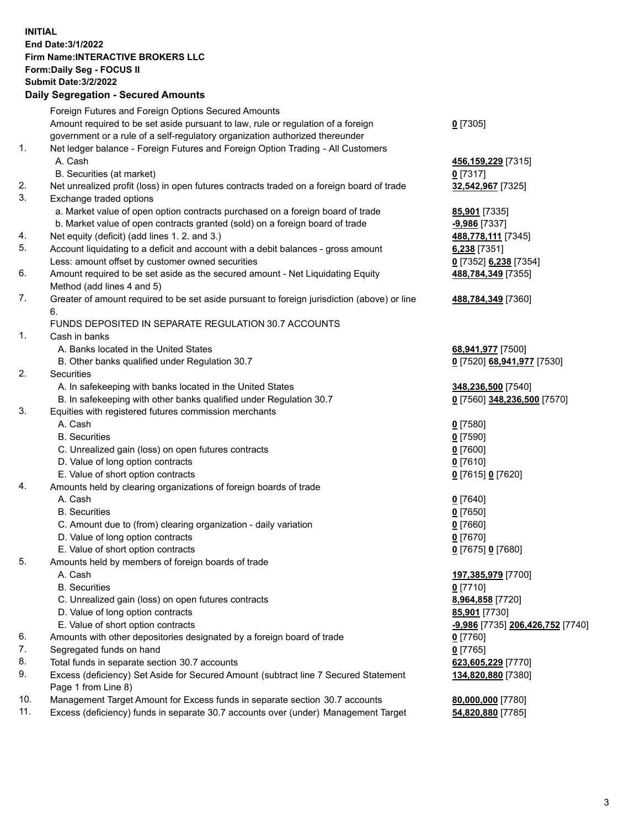**INITIAL End Date:3/1/2022 Firm Name:INTERACTIVE BROKERS LLC Form:Daily Seg - FOCUS II Submit Date:3/2/2022 Daily Segregation - Secured Amounts**

|                | Daily Ocglegation - Occuled Anioants                                                                       |                                  |
|----------------|------------------------------------------------------------------------------------------------------------|----------------------------------|
|                | Foreign Futures and Foreign Options Secured Amounts                                                        |                                  |
|                | Amount required to be set aside pursuant to law, rule or regulation of a foreign                           | $0$ [7305]                       |
|                | government or a rule of a self-regulatory organization authorized thereunder                               |                                  |
| $\mathbf{1}$ . | Net ledger balance - Foreign Futures and Foreign Option Trading - All Customers                            |                                  |
|                | A. Cash                                                                                                    | 456,159,229 [7315]               |
|                | B. Securities (at market)                                                                                  | $0$ [7317]                       |
| 2.             | Net unrealized profit (loss) in open futures contracts traded on a foreign board of trade                  | 32,542,967 [7325]                |
| 3.             | Exchange traded options                                                                                    |                                  |
|                | a. Market value of open option contracts purchased on a foreign board of trade                             | <b>85,901</b> [7335]             |
|                | b. Market value of open contracts granted (sold) on a foreign board of trade                               | -9,986 [7337]                    |
| 4.             | Net equity (deficit) (add lines 1. 2. and 3.)                                                              | 488,778,111 [7345]               |
| 5.             | Account liquidating to a deficit and account with a debit balances - gross amount                          | 6,238 [7351]                     |
|                | Less: amount offset by customer owned securities                                                           | 0 [7352] 6,238 [7354]            |
| 6.             | Amount required to be set aside as the secured amount - Net Liquidating Equity                             | 488,784,349 [7355]               |
|                | Method (add lines 4 and 5)                                                                                 |                                  |
| 7.             | Greater of amount required to be set aside pursuant to foreign jurisdiction (above) or line                | 488,784,349 [7360]               |
|                | 6.                                                                                                         |                                  |
|                | FUNDS DEPOSITED IN SEPARATE REGULATION 30.7 ACCOUNTS                                                       |                                  |
| $\mathbf{1}$ . | Cash in banks                                                                                              |                                  |
|                | A. Banks located in the United States                                                                      | 68,941,977 [7500]                |
|                | B. Other banks qualified under Regulation 30.7                                                             | 0 [7520] 68,941,977 [7530]       |
| 2.             | <b>Securities</b>                                                                                          |                                  |
|                | A. In safekeeping with banks located in the United States                                                  | 348,236,500 [7540]               |
|                | B. In safekeeping with other banks qualified under Regulation 30.7                                         | 0 [7560] 348,236,500 [7570]      |
| 3.             | Equities with registered futures commission merchants                                                      |                                  |
|                | A. Cash                                                                                                    | $0$ [7580]                       |
|                | <b>B.</b> Securities                                                                                       | $0$ [7590]                       |
|                | C. Unrealized gain (loss) on open futures contracts                                                        | $0$ [7600]                       |
|                | D. Value of long option contracts                                                                          | $0$ [7610]                       |
|                | E. Value of short option contracts                                                                         | 0 [7615] 0 [7620]                |
| 4.             | Amounts held by clearing organizations of foreign boards of trade                                          |                                  |
|                | A. Cash                                                                                                    | $0$ [7640]                       |
|                | <b>B.</b> Securities                                                                                       | $0$ [7650]                       |
|                | C. Amount due to (from) clearing organization - daily variation                                            | $0$ [7660]                       |
|                | D. Value of long option contracts                                                                          | $0$ [7670]                       |
|                | E. Value of short option contracts                                                                         | 0 [7675] 0 [7680]                |
| 5.             | Amounts held by members of foreign boards of trade                                                         |                                  |
|                | A. Cash                                                                                                    | 197,385,979 [7700]               |
|                | <b>B.</b> Securities                                                                                       | $0$ [7710]                       |
|                | C. Unrealized gain (loss) on open futures contracts                                                        | 8,964,858 [7720]                 |
|                | D. Value of long option contracts                                                                          | 85,901 [7730]                    |
|                | E. Value of short option contracts                                                                         | -9,986 [7735] 206,426,752 [7740] |
| 6.             | Amounts with other depositories designated by a foreign board of trade                                     | 0 [7760]                         |
| 7.             | Segregated funds on hand                                                                                   | $0$ [7765]                       |
| 8.             | Total funds in separate section 30.7 accounts                                                              | 623,605,229 [7770]               |
| 9.             | Excess (deficiency) Set Aside for Secured Amount (subtract line 7 Secured Statement<br>Page 1 from Line 8) | 134,820,880 [7380]               |
| 10.            | Management Target Amount for Excess funds in separate section 30.7 accounts                                | 80,000,000 [7780]                |
| 11.            | Excess (deficiency) funds in separate 30.7 accounts over (under) Management Target                         | 54,820,880 [7785]                |
|                |                                                                                                            |                                  |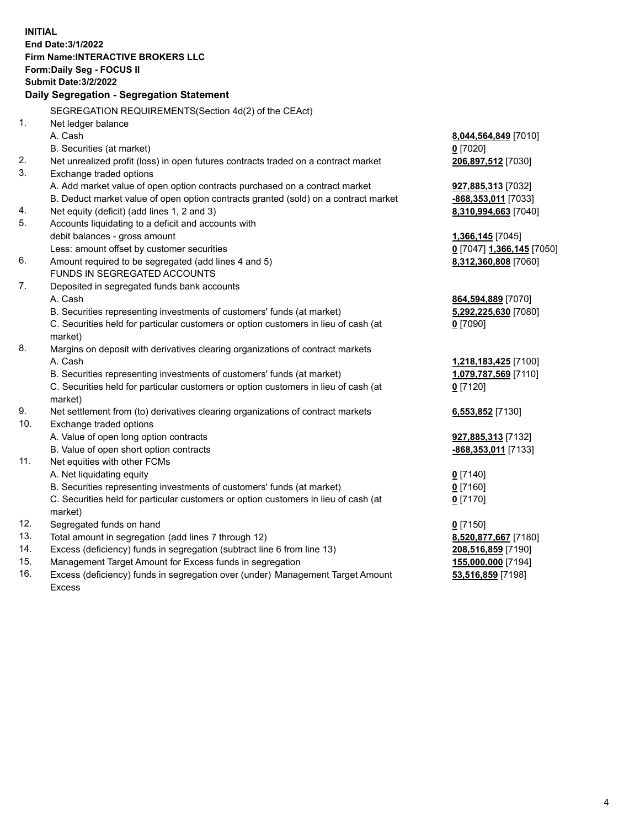**INITIAL End Date:3/1/2022 Firm Name:INTERACTIVE BROKERS LLC Form:Daily Seg - FOCUS II Submit Date:3/2/2022 Daily Segregation - Segregation Statement** SEGREGATION REQUIREMENTS(Section 4d(2) of the CEAct) 1. Net ledger balance A. Cash **8,044,564,849** [7010] B. Securities (at market) **0** [7020] 2. Net unrealized profit (loss) in open futures contracts traded on a contract market **206,897,512** [7030] 3. Exchange traded options A. Add market value of open option contracts purchased on a contract market **927,885,313** [7032] B. Deduct market value of open option contracts granted (sold) on a contract market **-868,353,011** [7033] 4. Net equity (deficit) (add lines 1, 2 and 3) **8,310,994,663** [7040] 5. Accounts liquidating to a deficit and accounts with debit balances - gross amount **1,366,145** [7045] Less: amount offset by customer securities **0** [7047] **1,366,145** [7050] 6. Amount required to be segregated (add lines 4 and 5) **8,312,360,808** [7060] FUNDS IN SEGREGATED ACCOUNTS 7. Deposited in segregated funds bank accounts A. Cash **864,594,889** [7070] B. Securities representing investments of customers' funds (at market) **5,292,225,630** [7080] C. Securities held for particular customers or option customers in lieu of cash (at market) **0** [7090] 8. Margins on deposit with derivatives clearing organizations of contract markets A. Cash **1,218,183,425** [7100] B. Securities representing investments of customers' funds (at market) **1,079,787,569** [7110] C. Securities held for particular customers or option customers in lieu of cash (at market) **0** [7120] 9. Net settlement from (to) derivatives clearing organizations of contract markets **6,553,852** [7130] 10. Exchange traded options A. Value of open long option contracts **927,885,313** [7132] B. Value of open short option contracts **-868,353,011** [7133] 11. Net equities with other FCMs A. Net liquidating equity **0** [7140] B. Securities representing investments of customers' funds (at market) **0** [7160] C. Securities held for particular customers or option customers in lieu of cash (at market) **0** [7170] 12. Segregated funds on hand **0** [7150] 13. Total amount in segregation (add lines 7 through 12) **8,520,877,667** [7180] 14. Excess (deficiency) funds in segregation (subtract line 6 from line 13) **208,516,859** [7190] 15. Management Target Amount for Excess funds in segregation **155,000,000** [7194] 16. Excess (deficiency) funds in segregation over (under) Management Target Amount **53,516,859** [7198]

Excess